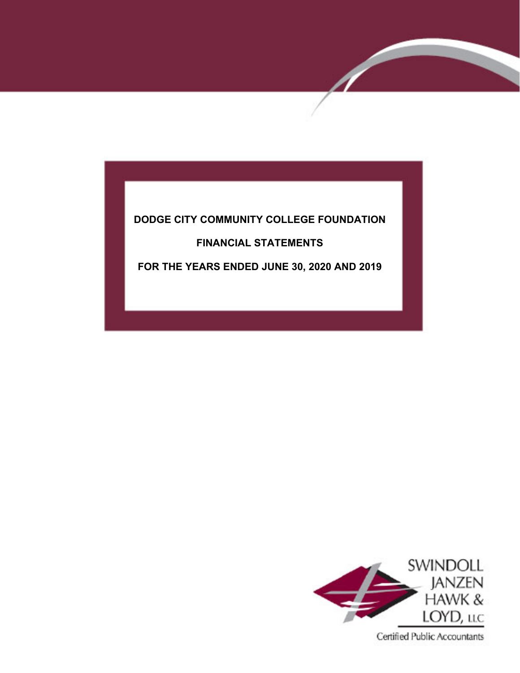

# **FINANCIAL STATEMENTS**

**FOR THE YEARS ENDED JUNE 30, 2020 AND 2019** 



Certified Public Accountants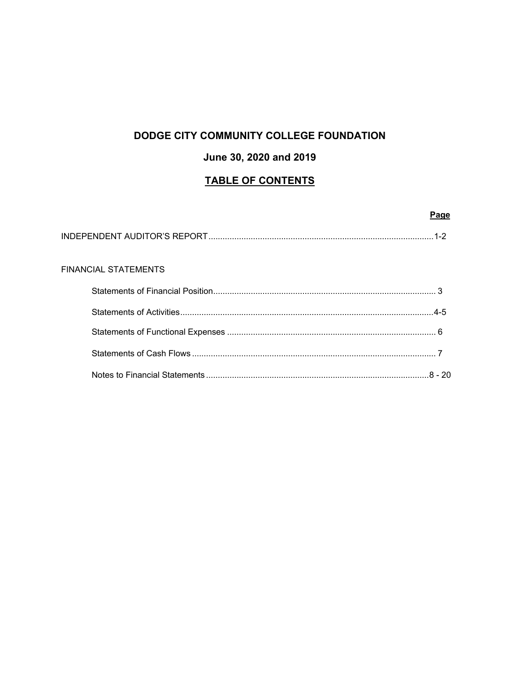# June 30, 2020 and 2019

# **TABLE OF CONTENTS**

# Page

| <b>FINANCIAL STATEMENTS</b> |  |
|-----------------------------|--|
|                             |  |
|                             |  |
|                             |  |
|                             |  |
|                             |  |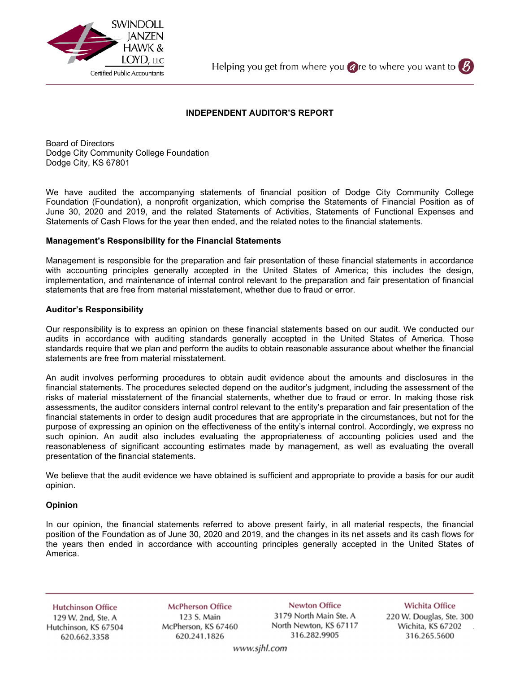

Helping you get from where you  $\alpha$  re to where you want to  $\beta$ 

# **INDEPENDENT AUDITOR'S REPORT**

Board of Directors Dodge City Community College Foundation Dodge City, KS 67801

We have audited the accompanying statements of financial position of Dodge City Community College Foundation (Foundation), a nonprofit organization, which comprise the Statements of Financial Position as of June 30, 2020 and 2019, and the related Statements of Activities, Statements of Functional Expenses and Statements of Cash Flows for the year then ended, and the related notes to the financial statements.

#### **Management's Responsibility for the Financial Statements**

Management is responsible for the preparation and fair presentation of these financial statements in accordance with accounting principles generally accepted in the United States of America; this includes the design, implementation, and maintenance of internal control relevant to the preparation and fair presentation of financial statements that are free from material misstatement, whether due to fraud or error.

#### **Auditor's Responsibility**

Our responsibility is to express an opinion on these financial statements based on our audit. We conducted our audits in accordance with auditing standards generally accepted in the United States of America. Those standards require that we plan and perform the audits to obtain reasonable assurance about whether the financial statements are free from material misstatement.

An audit involves performing procedures to obtain audit evidence about the amounts and disclosures in the financial statements. The procedures selected depend on the auditor's judgment, including the assessment of the risks of material misstatement of the financial statements, whether due to fraud or error. In making those risk assessments, the auditor considers internal control relevant to the entity's preparation and fair presentation of the financial statements in order to design audit procedures that are appropriate in the circumstances, but not for the purpose of expressing an opinion on the effectiveness of the entity's internal control. Accordingly, we express no such opinion. An audit also includes evaluating the appropriateness of accounting policies used and the reasonableness of significant accounting estimates made by management, as well as evaluating the overall presentation of the financial statements.

We believe that the audit evidence we have obtained is sufficient and appropriate to provide a basis for our audit opinion.

#### **Opinion**

In our opinion, the financial statements referred to above present fairly, in all material respects, the financial position of the Foundation as of June 30, 2020 and 2019, and the changes in its net assets and its cash flows for the years then ended in accordance with accounting principles generally accepted in the United States of America.

**Hutchinson Office** 129 W. 2nd, Ste. A Hutchinson, KS 67504 620.662.3358

**McPherson Office** 123 S. Main McPherson, KS 67460 620.241.1826

**Newton Office** 3179 North Main Ste. A North Newton, KS 67117 316.282.9905

**Wichita Office** 220 W. Douglas, Ste. 300 Wichita, KS 67202 316.265.5600

www.sjhl.com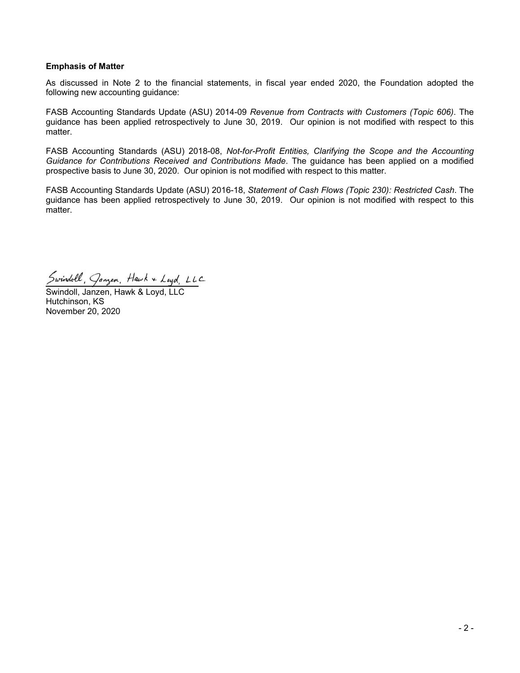#### **Emphasis of Matter**

As discussed in Note 2 to the financial statements, in fiscal year ended 2020, the Foundation adopted the following new accounting guidance:

FASB Accounting Standards Update (ASU) 2014-09 *Revenue from Contracts with Customers (Topic 606)*. The guidance has been applied retrospectively to June 30, 2019. Our opinion is not modified with respect to this matter.

FASB Accounting Standards (ASU) 2018-08, *Not-for-Profit Entities, Clarifying the Scope and the Accounting Guidance for Contributions Received and Contributions Made*. The guidance has been applied on a modified prospective basis to June 30, 2020. Our opinion is not modified with respect to this matter.

FASB Accounting Standards Update (ASU) 2016-18, *Statement of Cash Flows (Topic 230): Restricted Cash*. The guidance has been applied retrospectively to June 30, 2019. Our opinion is not modified with respect to this matter.

 $\overline{\phantom{a}}$ 

Swindoll, Janzen, Hawk & Loyd, LLC Hutchinson, KS November 20, 2020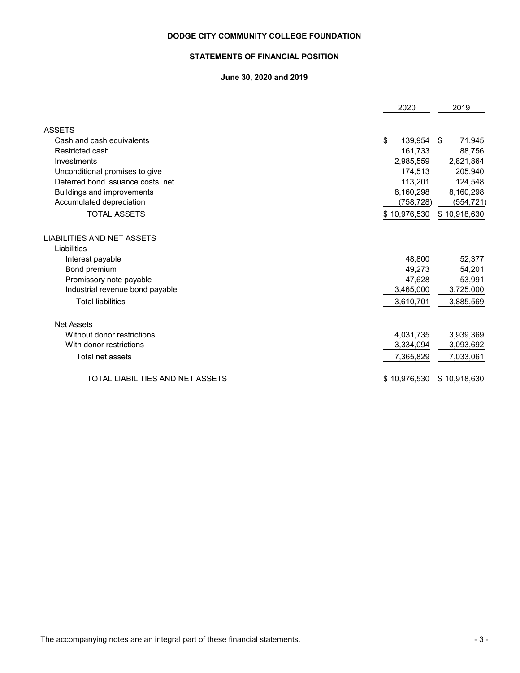# **STATEMENTS OF FINANCIAL POSITION**

# **June 30, 2020 and 2019**

|                                   | 2020          | 2019         |  |
|-----------------------------------|---------------|--------------|--|
| ASSETS                            |               |              |  |
| Cash and cash equivalents         | \$<br>139,954 | 71,945<br>\$ |  |
| Restricted cash                   | 161,733       | 88,756       |  |
| Investments                       | 2,985,559     | 2,821,864    |  |
| Unconditional promises to give    | 174,513       | 205,940      |  |
| Deferred bond issuance costs, net | 113,201       | 124,548      |  |
| Buildings and improvements        | 8,160,298     | 8,160,298    |  |
| Accumulated depreciation          | (758, 728)    | (554, 721)   |  |
| <b>TOTAL ASSETS</b>               | \$10,976,530  | \$10,918,630 |  |
| LIABILITIES AND NET ASSETS        |               |              |  |
| Liabilities                       |               |              |  |
| Interest payable                  | 48,800        | 52,377       |  |
| Bond premium                      | 49,273        | 54,201       |  |
| Promissory note payable           | 47,628        | 53,991       |  |
| Industrial revenue bond payable   | 3,465,000     | 3,725,000    |  |
| <b>Total liabilities</b>          | 3,610,701     | 3,885,569    |  |
| <b>Net Assets</b>                 |               |              |  |
| Without donor restrictions        | 4,031,735     | 3,939,369    |  |
| With donor restrictions           | 3,334,094     | 3,093,692    |  |
| Total net assets                  | 7,365,829     | 7,033,061    |  |
| TOTAL LIABILITIES AND NET ASSETS  | \$10,976,530  | \$10,918,630 |  |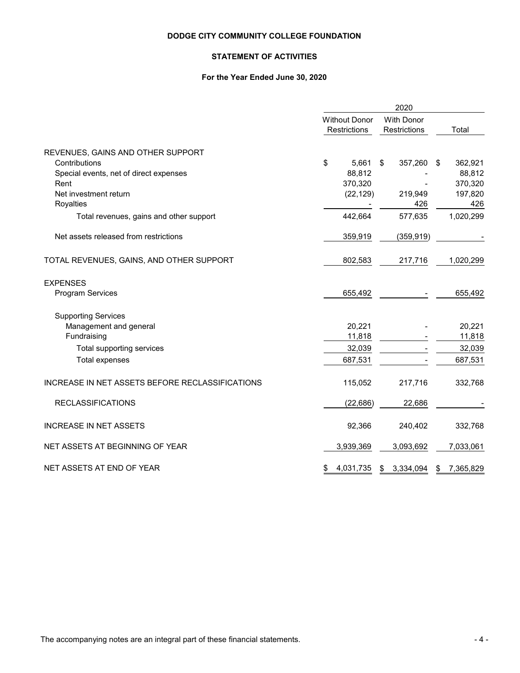### **STATEMENT OF ACTIVITIES**

#### **For the Year Ended June 30, 2020**

|                                                 | 2020                                 |                                   |                 |  |  |  |
|-------------------------------------------------|--------------------------------------|-----------------------------------|-----------------|--|--|--|
|                                                 | <b>Without Donor</b><br>Restrictions | <b>With Donor</b><br>Restrictions | Total           |  |  |  |
| REVENUES, GAINS AND OTHER SUPPORT               |                                      |                                   |                 |  |  |  |
| Contributions                                   | \$<br>5,661                          | 357,260<br>\$                     | 362,921<br>S.   |  |  |  |
| Special events, net of direct expenses          | 88,812                               |                                   | 88,812          |  |  |  |
| Rent<br>Net investment return                   | 370,320                              |                                   | 370,320         |  |  |  |
| Royalties                                       | (22, 129)                            | 219,949<br>426                    | 197,820<br>426  |  |  |  |
| Total revenues, gains and other support         | 442,664                              | 577,635                           | 1,020,299       |  |  |  |
|                                                 |                                      |                                   |                 |  |  |  |
| Net assets released from restrictions           | 359,919                              | (359, 919)                        |                 |  |  |  |
| TOTAL REVENUES, GAINS, AND OTHER SUPPORT        | 802,583                              | 217,716                           | 1,020,299       |  |  |  |
| <b>EXPENSES</b>                                 |                                      |                                   |                 |  |  |  |
| <b>Program Services</b>                         | 655,492                              |                                   | 655,492         |  |  |  |
| <b>Supporting Services</b>                      |                                      |                                   |                 |  |  |  |
| Management and general                          | 20,221                               |                                   | 20,221          |  |  |  |
| Fundraising                                     | 11,818                               |                                   | 11,818          |  |  |  |
| Total supporting services                       | 32,039                               |                                   | 32,039          |  |  |  |
| <b>Total expenses</b>                           | 687,531                              |                                   | 687,531         |  |  |  |
| INCREASE IN NET ASSETS BEFORE RECLASSIFICATIONS | 115,052                              | 217,716                           | 332,768         |  |  |  |
| <b>RECLASSIFICATIONS</b>                        | (22, 686)                            | 22,686                            |                 |  |  |  |
| <b>INCREASE IN NET ASSETS</b>                   | 92,366                               | 240,402                           | 332,768         |  |  |  |
| NET ASSETS AT BEGINNING OF YEAR                 | 3,939,369                            | 3,093,692                         | 7,033,061       |  |  |  |
| NET ASSETS AT END OF YEAR                       | 4,031,735<br>\$                      | 3,334,094<br>\$                   | 7,365,829<br>\$ |  |  |  |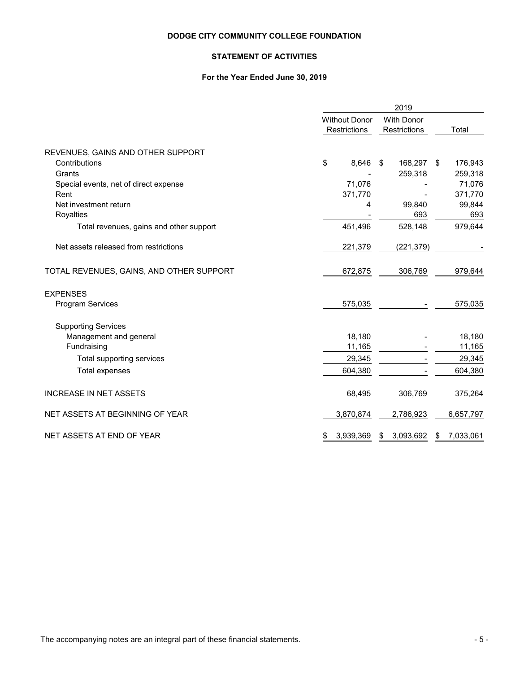# **STATEMENT OF ACTIVITIES**

#### **For the Year Ended June 30, 2019**

|                                          | 2019                                        |                                   |                |  |  |
|------------------------------------------|---------------------------------------------|-----------------------------------|----------------|--|--|
|                                          | <b>Without Donor</b><br><b>Restrictions</b> | <b>With Donor</b><br>Restrictions | Total          |  |  |
| REVENUES, GAINS AND OTHER SUPPORT        |                                             |                                   |                |  |  |
| Contributions                            | \$<br>8,646                                 | 168,297 \$<br>-\$                 | 176,943        |  |  |
| Grants                                   |                                             | 259,318                           | 259,318        |  |  |
| Special events, net of direct expense    | 71,076                                      |                                   | 71,076         |  |  |
| Rent                                     | 371,770                                     |                                   | 371,770        |  |  |
| Net investment return                    | 4                                           | 99,840                            | 99,844         |  |  |
| Royalties                                |                                             | 693                               | 693            |  |  |
| Total revenues, gains and other support  | 451,496                                     | 528,148                           | 979,644        |  |  |
| Net assets released from restrictions    | 221,379                                     | (221, 379)                        |                |  |  |
| TOTAL REVENUES, GAINS, AND OTHER SUPPORT | 672,875                                     | 306,769                           | 979,644        |  |  |
| <b>EXPENSES</b>                          |                                             |                                   |                |  |  |
| Program Services                         | 575,035                                     |                                   | 575,035        |  |  |
| <b>Supporting Services</b>               |                                             |                                   |                |  |  |
| Management and general                   | 18,180                                      |                                   | 18,180         |  |  |
| Fundraising                              | 11,165                                      |                                   | 11,165         |  |  |
| Total supporting services                | 29,345                                      |                                   | 29,345         |  |  |
| <b>Total expenses</b>                    | 604,380                                     |                                   | 604,380        |  |  |
| <b>INCREASE IN NET ASSETS</b>            | 68,495                                      | 306,769                           | 375,264        |  |  |
| NET ASSETS AT BEGINNING OF YEAR          | 3,870,874                                   | 2,786,923                         | 6,657,797      |  |  |
| NET ASSETS AT END OF YEAR                | 3,939,369                                   | 3,093,692<br>\$                   | 7,033,061<br>S |  |  |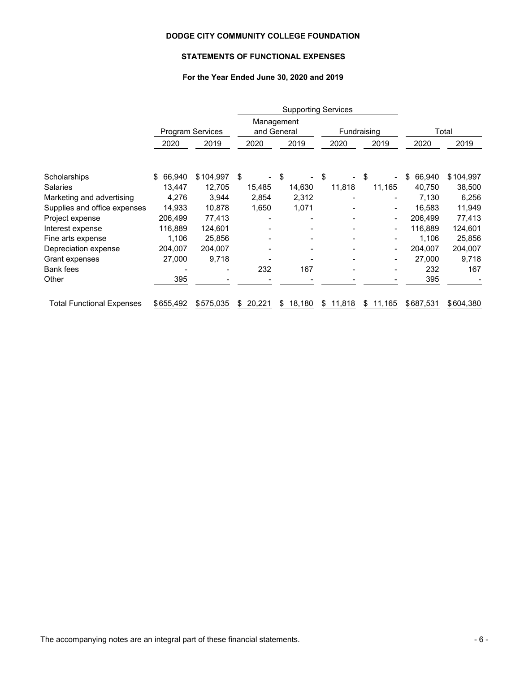# **STATEMENTS OF FUNCTIONAL EXPENSES**

#### **For the Year Ended June 30, 2020 and 2019**

|                                  |              |                  |              | <b>Supporting Services</b> |              |               |           |           |
|----------------------------------|--------------|------------------|--------------|----------------------------|--------------|---------------|-----------|-----------|
|                                  |              | Program Services |              | Management<br>and General  |              | Fundraising   |           | Total     |
|                                  | 2020         | 2019             | 2020         | 2019                       | 2020         | 2019          | 2020      | 2019      |
| Scholarships                     | 66,940<br>\$ | \$104,997        | \$           | \$                         | \$           | S             | 66,940    | \$104,997 |
| <b>Salaries</b>                  | 13,447       | 12,705           | 15,485       | 14,630                     | 11,818       | 11,165        | 40,750    | 38,500    |
| Marketing and advertising        | 4,276        | 3,944            | 2,854        | 2,312                      |              |               | 7,130     | 6,256     |
| Supplies and office expenses     | 14,933       | 10,878           | 1,650        | 1,071                      |              |               | 16,583    | 11,949    |
| Project expense                  | 206,499      | 77,413           |              |                            |              |               | 206,499   | 77,413    |
| Interest expense                 | 116,889      | 124,601          |              |                            |              |               | 116,889   | 124,601   |
| Fine arts expense                | 1,106        | 25,856           |              |                            |              |               | 1,106     | 25,856    |
| Depreciation expense             | 204,007      | 204,007          |              |                            |              |               | 204,007   | 204,007   |
| Grant expenses                   | 27,000       | 9,718            |              |                            |              |               | 27,000    | 9,718     |
| Bank fees                        |              |                  | 232          | 167                        |              |               | 232       | 167       |
| Other                            | 395          |                  |              |                            |              |               | 395       |           |
| <b>Total Functional Expenses</b> | \$655,492    | \$575,035        | 20,221<br>\$ | 18,180<br>\$               | 11,818<br>\$ | 11,165<br>\$. | \$687,531 | \$604,380 |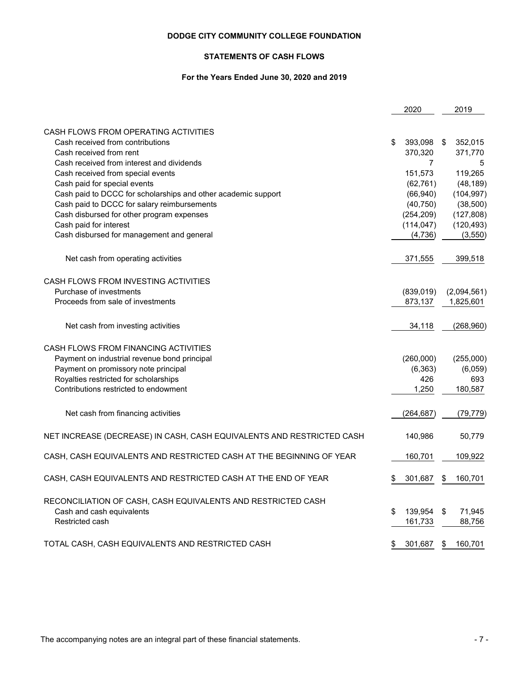# **STATEMENTS OF CASH FLOWS**

#### **For the Years Ended June 30, 2020 and 2019**

|                                                                                                              | 2020                     |                           | 2019             |
|--------------------------------------------------------------------------------------------------------------|--------------------------|---------------------------|------------------|
|                                                                                                              |                          |                           |                  |
| CASH FLOWS FROM OPERATING ACTIVITIES<br>Cash received from contributions                                     | \$<br>393,098            | \$                        | 352,015          |
| Cash received from rent                                                                                      | 370,320                  |                           | 371,770          |
| Cash received from interest and dividends                                                                    | $\overline{7}$           |                           | 5                |
| Cash received from special events                                                                            | 151,573                  |                           | 119,265          |
| Cash paid for special events                                                                                 | (62, 761)                |                           |                  |
|                                                                                                              |                          |                           | (48, 189)        |
| Cash paid to DCCC for scholarships and other academic support                                                | (66, 940)                |                           | (104, 997)       |
| Cash paid to DCCC for salary reimbursements                                                                  | (40, 750)                |                           | (38,500)         |
| Cash disbursed for other program expenses                                                                    | (254, 209)               |                           | (127, 808)       |
| Cash paid for interest                                                                                       | (114, 047)               |                           | (120, 493)       |
| Cash disbursed for management and general                                                                    | (4,736)                  |                           | (3,550)          |
| Net cash from operating activities                                                                           | 371,555                  |                           | 399,518          |
| CASH FLOWS FROM INVESTING ACTIVITIES                                                                         |                          |                           |                  |
| Purchase of investments                                                                                      | (839, 019)               |                           | (2,094,561)      |
| Proceeds from sale of investments                                                                            | 873,137                  |                           | 1,825,601        |
| Net cash from investing activities                                                                           | 34,118                   |                           | (268,960)        |
| CASH FLOWS FROM FINANCING ACTIVITIES                                                                         |                          |                           |                  |
| Payment on industrial revenue bond principal                                                                 | (260,000)                |                           | (255,000)        |
| Payment on promissory note principal                                                                         | (6, 363)                 |                           | (6,059)          |
| Royalties restricted for scholarships                                                                        | 426                      |                           | 693              |
| Contributions restricted to endowment                                                                        | 1,250                    |                           | 180,587          |
| Net cash from financing activities                                                                           | (264,687)                |                           | (79, 779)        |
| NET INCREASE (DECREASE) IN CASH, CASH EQUIVALENTS AND RESTRICTED CASH                                        | 140,986                  |                           | 50,779           |
| CASH, CASH EQUIVALENTS AND RESTRICTED CASH AT THE BEGINNING OF YEAR                                          | 160,701                  |                           | 109,922          |
| CASH, CASH EQUIVALENTS AND RESTRICTED CASH AT THE END OF YEAR                                                | 301,687                  | \$                        | 160,701          |
| RECONCILIATION OF CASH, CASH EQUIVALENTS AND RESTRICTED CASH<br>Cash and cash equivalents<br>Restricted cash | \$<br>139,954<br>161,733 | $\boldsymbol{\mathsf{S}}$ | 71,945<br>88,756 |
| TOTAL CASH, CASH EQUIVALENTS AND RESTRICTED CASH                                                             | \$<br>301,687            | \$                        | 160,701          |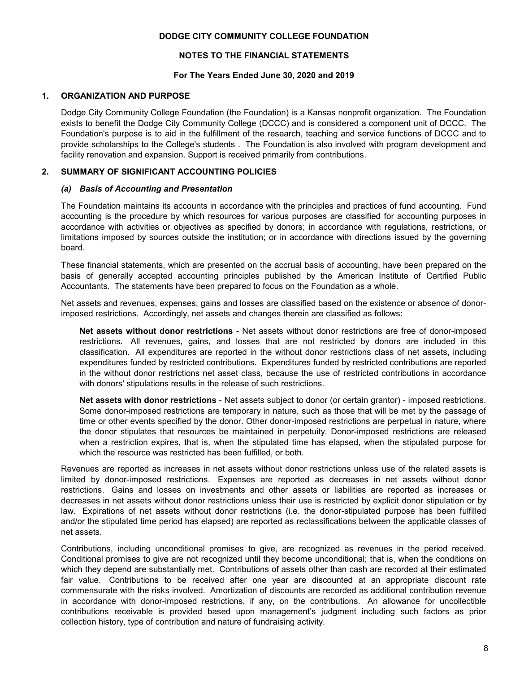### **NOTES TO THE FINANCIAL STATEMENTS**

#### **For The Years Ended June 30, 2020 and 2019**

#### **1. ORGANIZATION AND PURPOSE**

Dodge City Community College Foundation (the Foundation) is a Kansas nonprofit organization. The Foundation exists to benefit the Dodge City Community College (DCCC) and is considered a component unit of DCCC. The Foundation's purpose is to aid in the fulfillment of the research, teaching and service functions of DCCC and to provide scholarships to the College's students . The Foundation is also involved with program development and facility renovation and expansion. Support is received primarily from contributions.

#### **2. SUMMARY OF SIGNIFICANT ACCOUNTING POLICIES**

#### *(a) Basis of Accounting and Presentation*

The Foundation maintains its accounts in accordance with the principles and practices of fund accounting. Fund accounting is the procedure by which resources for various purposes are classified for accounting purposes in accordance with activities or objectives as specified by donors; in accordance with regulations, restrictions, or limitations imposed by sources outside the institution; or in accordance with directions issued by the governing board.

These financial statements, which are presented on the accrual basis of accounting, have been prepared on the basis of generally accepted accounting principles published by the American Institute of Certified Public Accountants. The statements have been prepared to focus on the Foundation as a whole.

Net assets and revenues, expenses, gains and losses are classified based on the existence or absence of donorimposed restrictions. Accordingly, net assets and changes therein are classified as follows:

**Net assets without donor restrictions** - Net assets without donor restrictions are free of donor-imposed restrictions. All revenues, gains, and losses that are not restricted by donors are included in this classification. All expenditures are reported in the without donor restrictions class of net assets, including expenditures funded by restricted contributions. Expenditures funded by restricted contributions are reported in the without donor restrictions net asset class, because the use of restricted contributions in accordance with donors' stipulations results in the release of such restrictions.

**Net assets with donor restrictions** - Net assets subject to donor (or certain grantor) - imposed restrictions. Some donor-imposed restrictions are temporary in nature, such as those that will be met by the passage of time or other events specified by the donor. Other donor-imposed restrictions are perpetual in nature, where the donor stipulates that resources be maintained in perpetuity. Donor-imposed restrictions are released when a restriction expires, that is, when the stipulated time has elapsed, when the stipulated purpose for which the resource was restricted has been fulfilled, or both.

Revenues are reported as increases in net assets without donor restrictions unless use of the related assets is limited by donor-imposed restrictions. Expenses are reported as decreases in net assets without donor restrictions. Gains and losses on investments and other assets or liabilities are reported as increases or decreases in net assets without donor restrictions unless their use is restricted by explicit donor stipulation or by law. Expirations of net assets without donor restrictions (i.e. the donor-stipulated purpose has been fulfilled and/or the stipulated time period has elapsed) are reported as reclassifications between the applicable classes of net assets.

Contributions, including unconditional promises to give, are recognized as revenues in the period received. Conditional promises to give are not recognized until they become unconditional; that is, when the conditions on which they depend are substantially met. Contributions of assets other than cash are recorded at their estimated fair value. Contributions to be received after one year are discounted at an appropriate discount rate commensurate with the risks involved. Amortization of discounts are recorded as additional contribution revenue in accordance with donor-imposed restrictions, if any, on the contributions. An allowance for uncollectible contributions receivable is provided based upon management's judgment including such factors as prior collection history, type of contribution and nature of fundraising activity.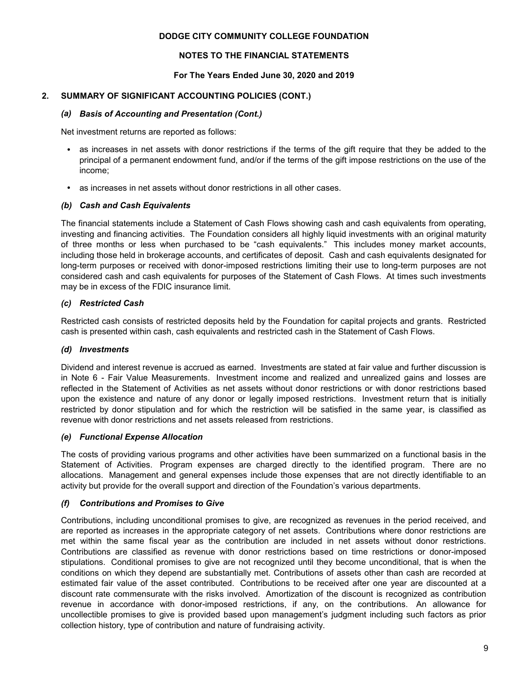# **NOTES TO THE FINANCIAL STATEMENTS**

#### **For The Years Ended June 30, 2020 and 2019**

### **2. SUMMARY OF SIGNIFICANT ACCOUNTING POLICIES (CONT.)**

#### *(a) Basis of Accounting and Presentation (Cont.)*

Net investment returns are reported as follows:

- $\bullet$ as increases in net assets with donor restrictions if the terms of the gift require that they be added to the principal of a permanent endowment fund, and/or if the terms of the gift impose restrictions on the use of the income;
- as increases in net assets without donor restrictions in all other cases.

#### *(b) Cash and Cash Equivalents*

The financial statements include a Statement of Cash Flows showing cash and cash equivalents from operating, investing and financing activities. The Foundation considers all highly liquid investments with an original maturity of three months or less when purchased to be "cash equivalents." This includes money market accounts, including those held in brokerage accounts, and certificates of deposit. Cash and cash equivalents designated for long-term purposes or received with donor-imposed restrictions limiting their use to long-term purposes are not considered cash and cash equivalents for purposes of the Statement of Cash Flows. At times such investments may be in excess of the FDIC insurance limit.

#### *(c) Restricted Cash*

Restricted cash consists of restricted deposits held by the Foundation for capital projects and grants. Restricted cash is presented within cash, cash equivalents and restricted cash in the Statement of Cash Flows.

#### *(d) Investments*

Dividend and interest revenue is accrued as earned. Investments are stated at fair value and further discussion is in Note 6 - Fair Value Measurements. Investment income and realized and unrealized gains and losses are reflected in the Statement of Activities as net assets without donor restrictions or with donor restrictions based upon the existence and nature of any donor or legally imposed restrictions. Investment return that is initially restricted by donor stipulation and for which the restriction will be satisfied in the same year, is classified as revenue with donor restrictions and net assets released from restrictions.

#### *(e) Functional Expense Allocation*

The costs of providing various programs and other activities have been summarized on a functional basis in the Statement of Activities. Program expenses are charged directly to the identified program. There are no allocations. Management and general expenses include those expenses that are not directly identifiable to an activity but provide for the overall support and direction of the Foundation's various departments.

#### *(f) Contributions and Promises to Give*

Contributions, including unconditional promises to give, are recognized as revenues in the period received, and are reported as increases in the appropriate category of net assets. Contributions where donor restrictions are met within the same fiscal year as the contribution are included in net assets without donor restrictions. Contributions are classified as revenue with donor restrictions based on time restrictions or donor-imposed stipulations. Conditional promises to give are not recognized until they become unconditional, that is when the conditions on which they depend are substantially met. Contributions of assets other than cash are recorded at estimated fair value of the asset contributed. Contributions to be received after one year are discounted at a discount rate commensurate with the risks involved. Amortization of the discount is recognized as contribution revenue in accordance with donor-imposed restrictions, if any, on the contributions. An allowance for uncollectible promises to give is provided based upon management's judgment including such factors as prior collection history, type of contribution and nature of fundraising activity.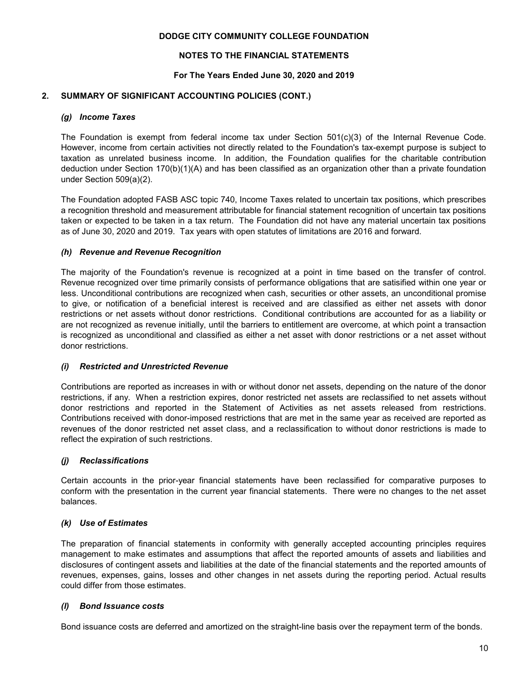# **NOTES TO THE FINANCIAL STATEMENTS**

# **For The Years Ended June 30, 2020 and 2019**

# **2. SUMMARY OF SIGNIFICANT ACCOUNTING POLICIES (CONT.)**

### *(g) Income Taxes*

The Foundation is exempt from federal income tax under Section 501(c)(3) of the Internal Revenue Code. However, income from certain activities not directly related to the Foundation's tax-exempt purpose is subject to taxation as unrelated business income. In addition, the Foundation qualifies for the charitable contribution deduction under Section 170(b)(1)(A) and has been classified as an organization other than a private foundation under Section 509(a)(2).

The Foundation adopted FASB ASC topic 740, Income Taxes related to uncertain tax positions, which prescribes a recognition threshold and measurement attributable for financial statement recognition of uncertain tax positions taken or expected to be taken in a tax return. The Foundation did not have any material uncertain tax positions as of June 30, 2020 and 2019. Tax years with open statutes of limitations are 2016 and forward.

# *(h) Revenue and Revenue Recognition*

The majority of the Foundation's revenue is recognized at a point in time based on the transfer of control. Revenue recognized over time primarily consists of performance obligations that are satisified within one year or less. Unconditional contributions are recognized when cash, securities or other assets, an unconditional promise to give, or notification of a beneficial interest is received and are classified as either net assets with donor restrictions or net assets without donor restrictions. Conditional contributions are accounted for as a liability or are not recognized as revenue initially, until the barriers to entitlement are overcome, at which point a transaction is recognized as unconditional and classified as either a net asset with donor restrictions or a net asset without donor restrictions.

# *(i) Restricted and Unrestricted Revenue*

Contributions are reported as increases in with or without donor net assets, depending on the nature of the donor restrictions, if any. When a restriction expires, donor restricted net assets are reclassified to net assets without donor restrictions and reported in the Statement of Activities as net assets released from restrictions. Contributions received with donor-imposed restrictions that are met in the same year as received are reported as revenues of the donor restricted net asset class, and a reclassification to without donor restrictions is made to reflect the expiration of such restrictions.

# *(j) Reclassifications*

Certain accounts in the prior-year financial statements have been reclassified for comparative purposes to conform with the presentation in the current year financial statements. There were no changes to the net asset balances.

# *(k) Use of Estimates*

The preparation of financial statements in conformity with generally accepted accounting principles requires management to make estimates and assumptions that affect the reported amounts of assets and liabilities and disclosures of contingent assets and liabilities at the date of the financial statements and the reported amounts of revenues, expenses, gains, losses and other changes in net assets during the reporting period. Actual results could differ from those estimates.

# *(l) Bond Issuance costs*

Bond issuance costs are deferred and amortized on the straight-line basis over the repayment term of the bonds.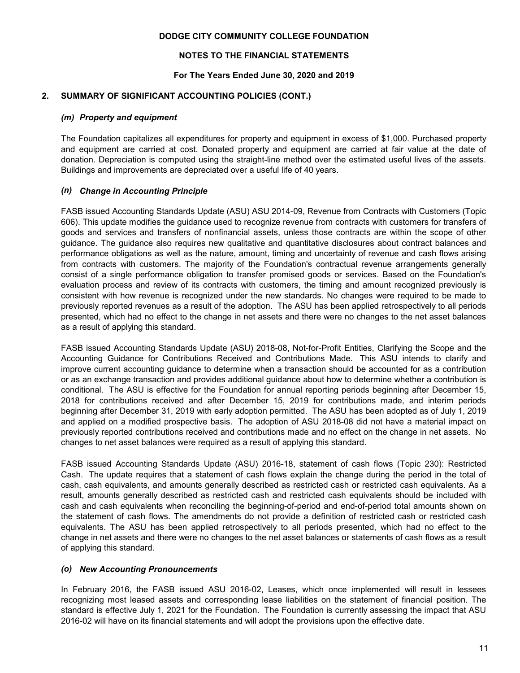# **NOTES TO THE FINANCIAL STATEMENTS**

#### **For The Years Ended June 30, 2020 and 2019**

# **2. SUMMARY OF SIGNIFICANT ACCOUNTING POLICIES (CONT.)**

#### *(m) Property and equipment*

The Foundation capitalizes all expenditures for property and equipment in excess of \$1,000. Purchased property and equipment are carried at cost. Donated property and equipment are carried at fair value at the date of donation. Depreciation is computed using the straight-line method over the estimated useful lives of the assets. Buildings and improvements are depreciated over a useful life of 40 years.

#### *(n) Change in Accounting Principle*

FASB issued Accounting Standards Update (ASU) ASU 2014-09, Revenue from Contracts with Customers (Topic 606). This update modifies the guidance used to recognize revenue from contracts with customers for transfers of goods and services and transfers of nonfinancial assets, unless those contracts are within the scope of other guidance. The guidance also requires new qualitative and quantitative disclosures about contract balances and performance obligations as well as the nature, amount, timing and uncertainty of revenue and cash flows arising from contracts with customers. The majority of the Foundation's contractual revenue arrangements generally consist of a single performance obligation to transfer promised goods or services. Based on the Foundation's evaluation process and review of its contracts with customers, the timing and amount recognized previously is consistent with how revenue is recognized under the new standards. No changes were required to be made to previously reported revenues as a result of the adoption. The ASU has been applied retrospectively to all periods presented, which had no effect to the change in net assets and there were no changes to the net asset balances as a result of applying this standard.

FASB issued Accounting Standards Update (ASU) 2018-08, Not-for-Profit Entities, Clarifying the Scope and the Accounting Guidance for Contributions Received and Contributions Made. This ASU intends to clarify and improve current accounting guidance to determine when a transaction should be accounted for as a contribution or as an exchange transaction and provides additional guidance about how to determine whether a contribution is conditional. The ASU is effective for the Foundation for annual reporting periods beginning after December 15, 2018 for contributions received and after December 15, 2019 for contributions made, and interim periods beginning after December 31, 2019 with early adoption permitted. The ASU has been adopted as of July 1, 2019 and applied on a modified prospective basis. The adoption of ASU 2018-08 did not have a material impact on previously reported contributions received and contributions made and no effect on the change in net assets. No changes to net asset balances were required as a result of applying this standard.

FASB issued Accounting Standards Update (ASU) 2016-18, statement of cash flows (Topic 230): Restricted Cash. The update requires that a statement of cash flows explain the change during the period in the total of cash, cash equivalents, and amounts generally described as restricted cash or restricted cash equivalents. As a result, amounts generally described as restricted cash and restricted cash equivalents should be included with cash and cash equivalents when reconciling the beginning-of-period and end-of-period total amounts shown on the statement of cash flows. The amendments do not provide a definition of restricted cash or restricted cash equivalents. The ASU has been applied retrospectively to all periods presented, which had no effect to the change in net assets and there were no changes to the net asset balances or statements of cash flows as a result of applying this standard.

#### *(o) New Accounting Pronouncements*

In February 2016, the FASB issued ASU 2016-02, Leases, which once implemented will result in lessees recognizing most leased assets and corresponding lease liabilities on the statement of financial position. The standard is effective July 1, 2021 for the Foundation. The Foundation is currently assessing the impact that ASU 2016-02 will have on its financial statements and will adopt the provisions upon the effective date.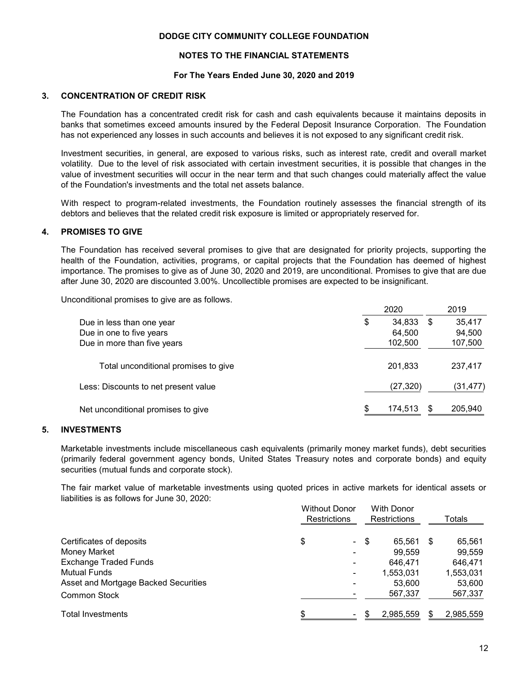## **NOTES TO THE FINANCIAL STATEMENTS**

#### **For The Years Ended June 30, 2020 and 2019**

#### **3. CONCENTRATION OF CREDIT RISK**

The Foundation has a concentrated credit risk for cash and cash equivalents because it maintains deposits in banks that sometimes exceed amounts insured by the Federal Deposit Insurance Corporation. The Foundation has not experienced any losses in such accounts and believes it is not exposed to any significant credit risk.

Investment securities, in general, are exposed to various risks, such as interest rate, credit and overall market volatility. Due to the level of risk associated with certain investment securities, it is possible that changes in the value of investment securities will occur in the near term and that such changes could materially affect the value of the Foundation's investments and the total net assets balance.

With respect to program-related investments, the Foundation routinely assesses the financial strength of its debtors and believes that the related credit risk exposure is limited or appropriately reserved for.

#### **4. PROMISES TO GIVE**

The Foundation has received several promises to give that are designated for priority projects, supporting the health of the Foundation, activities, programs, or capital projects that the Foundation has deemed of highest importance. The promises to give as of June 30, 2020 and 2019, are unconditional. Promises to give that are due after June 30, 2020 are discounted 3.00%. Uncollectible promises are expected to be insignificant.

Unconditional promises to give are as follows.

|                                      | 2020          |   | 2019      |
|--------------------------------------|---------------|---|-----------|
| Due in less than one year            | \$<br>34,833  | S | 35,417    |
| Due in one to five years             | 64.500        |   | 94,500    |
| Due in more than five years          | 102,500       |   | 107,500   |
| Total unconditional promises to give | 201,833       |   | 237,417   |
| Less: Discounts to net present value | (27, 320)     |   | (31, 477) |
| Net unconditional promises to give   | \$<br>174.513 | S | 205,940   |
|                                      |               |   |           |

### **5. INVESTMENTS**

Marketable investments include miscellaneous cash equivalents (primarily money market funds), debt securities (primarily federal government agency bonds, United States Treasury notes and corporate bonds) and equity securities (mutual funds and corporate stock).

The fair market value of marketable investments using quoted prices in active markets for identical assets or liabilities is as follows for June 30, 2020:

|                                      | <b>Without Donor</b><br><b>Restrictions</b> |  | <b>With Donor</b><br><b>Restrictions</b> |           |   | Totals    |
|--------------------------------------|---------------------------------------------|--|------------------------------------------|-----------|---|-----------|
| Certificates of deposits             | \$                                          |  | - \$                                     | 65.561    | S | 65,561    |
| Money Market                         |                                             |  |                                          | 99.559    |   | 99,559    |
| <b>Exchange Traded Funds</b>         |                                             |  |                                          | 646.471   |   | 646,471   |
| <b>Mutual Funds</b>                  |                                             |  |                                          | 1,553,031 |   | 1,553,031 |
| Asset and Mortgage Backed Securities |                                             |  |                                          | 53,600    |   | 53,600    |
| <b>Common Stock</b>                  |                                             |  |                                          | 567,337   |   | 567,337   |
| <b>Total Investments</b>             |                                             |  |                                          | 2,985,559 |   | 2,985,559 |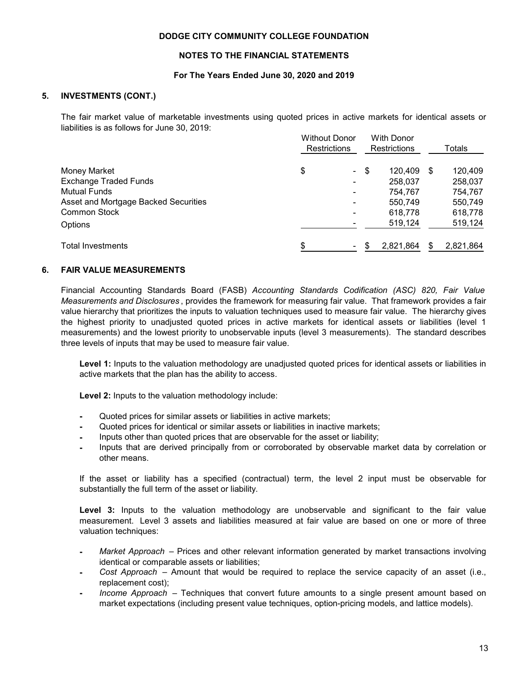# **NOTES TO THE FINANCIAL STATEMENTS**

#### **For The Years Ended June 30, 2020 and 2019**

#### **5. INVESTMENTS (CONT.)**

The fair market value of marketable investments using quoted prices in active markets for identical assets or liabilities is as follows for June 30, 2019:

|                                      | <b>Without Donor</b><br><b>Restrictions</b> |                          |      | <b>With Donor</b><br>Restrictions | Totals |           |  |
|--------------------------------------|---------------------------------------------|--------------------------|------|-----------------------------------|--------|-----------|--|
| Money Market                         | \$                                          |                          | - \$ | 120,409                           | -S     | 120,409   |  |
| <b>Exchange Traded Funds</b>         |                                             | ۰                        |      | 258,037                           |        | 258,037   |  |
| <b>Mutual Funds</b>                  |                                             |                          |      | 754.767                           |        | 754,767   |  |
| Asset and Mortgage Backed Securities |                                             |                          |      | 550.749                           |        | 550,749   |  |
| <b>Common Stock</b>                  |                                             |                          |      | 618,778                           |        | 618,778   |  |
| <b>Options</b>                       |                                             |                          |      | 519.124                           |        | 519,124   |  |
| <b>Total Investments</b>             | \$                                          | $\overline{\phantom{0}}$ |      | 2,821,864                         |        | 2,821,864 |  |

#### **6. FAIR VALUE MEASUREMENTS**

Financial Accounting Standards Board (FASB) *Accounting Standards Codification (ASC) 820, Fair Value Measurements and Disclosures* , provides the framework for measuring fair value. That framework provides a fair value hierarchy that prioritizes the inputs to valuation techniques used to measure fair value. The hierarchy gives the highest priority to unadjusted quoted prices in active markets for identical assets or liabilities (level 1 measurements) and the lowest priority to unobservable inputs (level 3 measurements). The standard describes three levels of inputs that may be used to measure fair value.

**Level 1:** Inputs to the valuation methodology are unadjusted quoted prices for identical assets or liabilities in active markets that the plan has the ability to access.

**Level 2:** Inputs to the valuation methodology include:

- **-** Quoted prices for similar assets or liabilities in active markets;
- **-** Quoted prices for identical or similar assets or liabilities in inactive markets;
- **-** Inputs other than quoted prices that are observable for the asset or liability;
- **-** Inputs that are derived principally from or corroborated by observable market data by correlation or other means.

If the asset or liability has a specified (contractual) term, the level 2 input must be observable for substantially the full term of the asset or liability.

**Level 3:** Inputs to the valuation methodology are unobservable and significant to the fair value measurement. Level 3 assets and liabilities measured at fair value are based on one or more of three valuation techniques:

- **-** *Market Approach* – Prices and other relevant information generated by market transactions involving identical or comparable assets or liabilities;
- **-** *Cost Approach* – Amount that would be required to replace the service capacity of an asset (i.e., replacement cost);
- **-** *Income Approach* – Techniques that convert future amounts to a single present amount based on market expectations (including present value techniques, option-pricing models, and lattice models).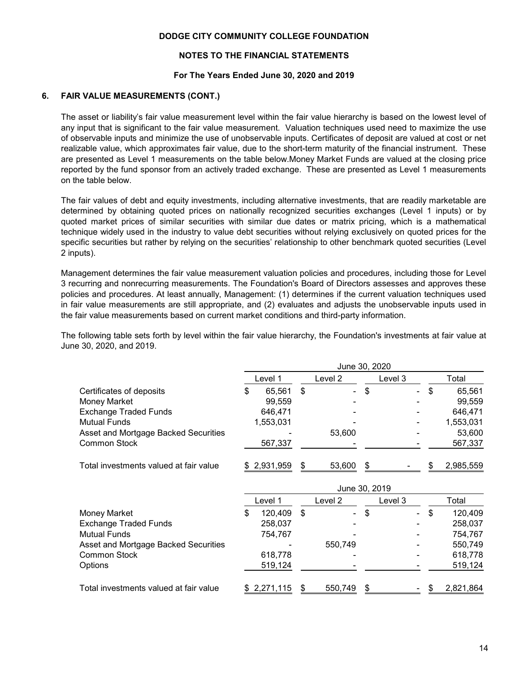# **NOTES TO THE FINANCIAL STATEMENTS**

#### **For The Years Ended June 30, 2020 and 2019**

### **6. FAIR VALUE MEASUREMENTS (CONT.)**

The asset or liability's fair value measurement level within the fair value hierarchy is based on the lowest level of any input that is significant to the fair value measurement. Valuation techniques used need to maximize the use of observable inputs and minimize the use of unobservable inputs. Certificates of deposit are valued at cost or net realizable value, which approximates fair value, due to the short-term maturity of the financial instrument. These are presented as Level 1 measurements on the table below.Money Market Funds are valued at the closing price reported by the fund sponsor from an actively traded exchange. These are presented as Level 1 measurements on the table below.

The fair values of debt and equity investments, including alternative investments, that are readily marketable are determined by obtaining quoted prices on nationally recognized securities exchanges (Level 1 inputs) or by quoted market prices of similar securities with similar due dates or matrix pricing, which is a mathematical technique widely used in the industry to value debt securities without relying exclusively on quoted prices for the specific securities but rather by relying on the securities' relationship to other benchmark quoted securities (Level 2 inputs).

Management determines the fair value measurement valuation policies and procedures, including those for Level 3 recurring and nonrecurring measurements. The Foundation's Board of Directors assesses and approves these policies and procedures. At least annually, Management: (1) determines if the current valuation techniques used in fair value measurements are still appropriate, and (2) evaluates and adjusts the unobservable inputs used in the fair value measurements based on current market conditions and third-party information.

The following table sets forth by level within the fair value hierarchy, the Foundation's investments at fair value at June 30, 2020, and 2019.

|                                        | June 30, 2020 |             |    |         |    |         |    |           |
|----------------------------------------|---------------|-------------|----|---------|----|---------|----|-----------|
|                                        |               | Level 1     |    | Level 2 |    | Level 3 |    | Total     |
| Certificates of deposits               | \$            | 65,561      | \$ |         | \$ | ۰       | \$ | 65,561    |
| Money Market                           |               | 99,559      |    |         |    |         |    | 99,559    |
| <b>Exchange Traded Funds</b>           |               | 646,471     |    |         |    |         |    | 646,471   |
| <b>Mutual Funds</b>                    |               | 1,553,031   |    |         |    |         |    | 1,553,031 |
| Asset and Mortgage Backed Securities   |               |             |    | 53,600  |    |         |    | 53,600    |
| <b>Common Stock</b>                    |               | 567,337     |    |         |    |         |    | 567,337   |
| Total investments valued at fair value |               | \$2,931,959 | S  | 53,600  | \$ |         |    | 2,985,559 |
|                                        | June 30, 2019 |             |    |         |    |         |    |           |
|                                        |               | Level 1     |    | Level 2 |    | Level 3 |    | Total     |
| <b>Money Market</b>                    | \$            | 120,409     | \$ |         | \$ | ۰       | \$ | 120,409   |
| <b>Exchange Traded Funds</b>           |               | 258,037     |    |         |    |         |    | 258,037   |
| <b>Mutual Funds</b>                    |               | 754,767     |    |         |    |         |    | 754,767   |
| Asset and Mortgage Backed Securities   |               |             |    | 550,749 |    |         |    | 550,749   |
| <b>Common Stock</b>                    |               | 618,778     |    |         |    |         |    | 618,778   |
| Options                                |               | 519,124     |    |         |    |         |    | 519,124   |
| Total investments valued at fair value | S.            | 2,271,115   | \$ | 550,749 | \$ |         | £. | 2,821,864 |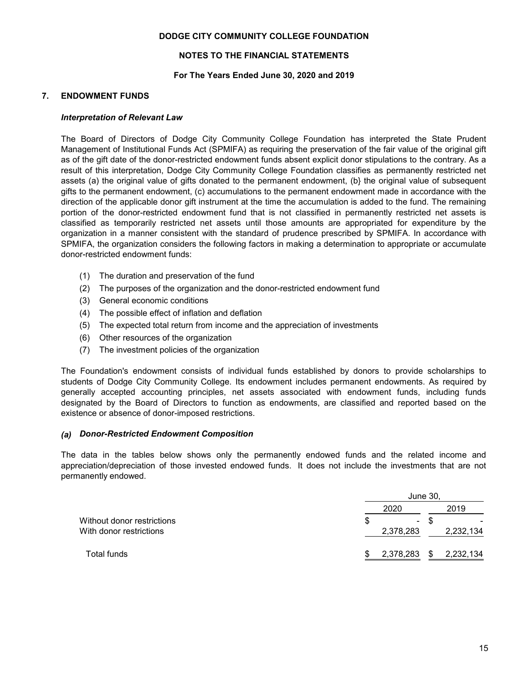# **NOTES TO THE FINANCIAL STATEMENTS**

#### **For The Years Ended June 30, 2020 and 2019**

#### **7. ENDOWMENT FUNDS**

#### *Interpretation of Relevant Law*

The Board of Directors of Dodge City Community College Foundation has interpreted the State Prudent Management of Institutional Funds Act (SPMIFA) as requiring the preservation of the fair value of the original gift as of the gift date of the donor-restricted endowment funds absent explicit donor stipulations to the contrary. As a result of this interpretation, Dodge City Community College Foundation classifies as permanently restricted net assets (a) the original value of gifts donated to the permanent endowment, (b} the original value of subsequent gifts to the permanent endowment, (c) accumulations to the permanent endowment made in accordance with the direction of the applicable donor gift instrument at the time the accumulation is added to the fund. The remaining portion of the donor-restricted endowment fund that is not classified in permanently restricted net assets is classified as temporarily restricted net assets until those amounts are appropriated for expenditure by the organization in a manner consistent with the standard of prudence prescribed by SPMIFA. In accordance with SPMIFA, the organization considers the following factors in making a determination to appropriate or accumulate donor-restricted endowment funds:

- (1) The duration and preservation of the fund
- (2) The purposes of the organization and the donor-restricted endowment fund
- (3) General economic conditions
- (4) The possible effect of inflation and deflation
- (5) The expected total return from income and the appreciation of investments
- (6) Other resources of the organization
- (7) The investment policies of the organization

The Foundation's endowment consists of individual funds established by donors to provide scholarships to students of Dodge City Community College. Its endowment includes permanent endowments. As required by generally accepted accounting principles, net assets associated with endowment funds, including funds designated by the Board of Directors to function as endowments, are classified and reported based on the existence or absence of donor-imposed restrictions.

#### *(a) Donor-Restricted Endowment Composition*

The data in the tables below shows only the permanently endowed funds and the related income and appreciation/depreciation of those invested endowed funds. It does not include the investments that are not permanently endowed.

|                                                       |   | June 30,            |     |           |  |  |
|-------------------------------------------------------|---|---------------------|-----|-----------|--|--|
|                                                       |   | 2020                |     | 2019      |  |  |
| Without donor restrictions<br>With donor restrictions | S | $\sim$<br>2,378,283 | \$. | 2,232,134 |  |  |
| Total funds                                           |   | 2,378,283           | S   | 2,232,134 |  |  |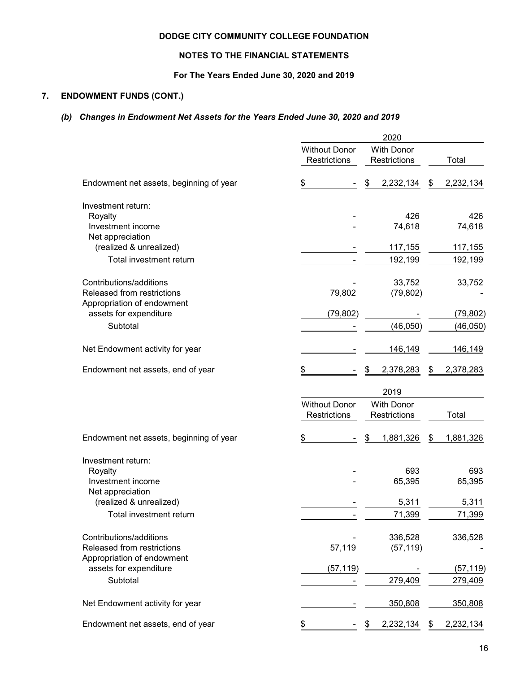# **NOTES TO THE FINANCIAL STATEMENTS**

# **For The Years Ended June 30, 2020 and 2019**

# **7. ENDOWMENT FUNDS (CONT.)**

# *(b) Changes in Endowment Net Assets for the Years Ended June 30, 2020 and 2019*

|                                         | 2020                                 |                                   |    |           |  |  |
|-----------------------------------------|--------------------------------------|-----------------------------------|----|-----------|--|--|
|                                         | <b>Without Donor</b><br>Restrictions | <b>With Donor</b><br>Restrictions |    | Total     |  |  |
| Endowment net assets, beginning of year | \$                                   | 2,232,134<br>\$                   | \$ | 2,232,134 |  |  |
| Investment return:                      |                                      |                                   |    |           |  |  |
| Royalty                                 |                                      | 426                               |    | 426       |  |  |
| Investment income                       |                                      | 74,618                            |    | 74,618    |  |  |
| Net appreciation                        |                                      |                                   |    |           |  |  |
| (realized & unrealized)                 |                                      | 117,155                           |    | 117,155   |  |  |
| Total investment return                 |                                      | 192,199                           |    | 192,199   |  |  |
| Contributions/additions                 |                                      | 33,752                            |    | 33,752    |  |  |
| Released from restrictions              | 79,802                               | (79, 802)                         |    |           |  |  |
| Appropriation of endowment              |                                      |                                   |    |           |  |  |
| assets for expenditure                  | (79, 802)                            |                                   |    | (79, 802) |  |  |
| Subtotal                                |                                      | (46, 050)                         |    | (46, 050) |  |  |
| Net Endowment activity for year         |                                      | 146,149                           |    | 146,149   |  |  |
| Endowment net assets, end of year       | \$                                   | \$<br>2,378,283                   | \$ | 2,378,283 |  |  |
|                                         |                                      | 2019                              |    |           |  |  |
|                                         | <b>Without Donor</b>                 | <b>With Donor</b>                 |    |           |  |  |
|                                         | Restrictions                         | Restrictions                      |    | Total     |  |  |
| Endowment net assets, beginning of year | \$                                   | 1,881,326<br>\$                   | \$ | 1,881,326 |  |  |
| Investment return:                      |                                      |                                   |    |           |  |  |
| Royalty                                 |                                      | 693                               |    | 693       |  |  |
| Investment income                       |                                      | 65,395                            |    | 65,395    |  |  |
| Net appreciation                        |                                      |                                   |    |           |  |  |
| (realized & unrealized)                 |                                      | 5,311                             |    | 5,311     |  |  |
| Total investment return                 |                                      | 71,399                            |    | 71,399    |  |  |
| Contributions/additions                 |                                      | 336,528                           |    | 336,528   |  |  |
| Released from restrictions              | 57,119                               | (57, 119)                         |    |           |  |  |
| Appropriation of endowment              |                                      |                                   |    |           |  |  |
| assets for expenditure                  | (57, 119)                            |                                   |    | (57, 119) |  |  |
| Subtotal                                |                                      | 279,409                           |    | 279,409   |  |  |
| Net Endowment activity for year         |                                      | 350,808                           |    | 350,808   |  |  |
| Endowment net assets, end of year       | \$                                   | \$<br>2,232,134                   | \$ | 2,232,134 |  |  |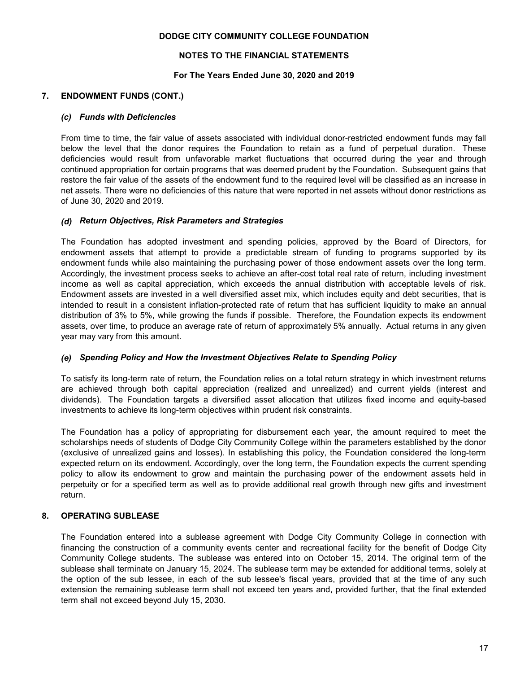# **NOTES TO THE FINANCIAL STATEMENTS**

#### **For The Years Ended June 30, 2020 and 2019**

#### **7. ENDOWMENT FUNDS (CONT.)**

#### *(c) Funds with Deficiencies*

From time to time, the fair value of assets associated with individual donor-restricted endowment funds may fall below the level that the donor requires the Foundation to retain as a fund of perpetual duration. These deficiencies would result from unfavorable market fluctuations that occurred during the year and through continued appropriation for certain programs that was deemed prudent by the Foundation. Subsequent gains that restore the fair value of the assets of the endowment fund to the required level will be classified as an increase in net assets. There were no deficiencies of this nature that were reported in net assets without donor restrictions as of June 30, 2020 and 2019.

#### *(d) Return Objectives, Risk Parameters and Strategies*

The Foundation has adopted investment and spending policies, approved by the Board of Directors, for endowment assets that attempt to provide a predictable stream of funding to programs supported by its endowment funds while also maintaining the purchasing power of those endowment assets over the long term. Accordingly, the investment process seeks to achieve an after-cost total real rate of return, including investment income as well as capital appreciation, which exceeds the annual distribution with acceptable levels of risk. Endowment assets are invested in a well diversified asset mix, which includes equity and debt securities, that is intended to result in a consistent inflation-protected rate of return that has sufficient liquidity to make an annual distribution of 3% to 5%, while growing the funds if possible. Therefore, the Foundation expects its endowment assets, over time, to produce an average rate of return of approximately 5% annually. Actual returns in any given year may vary from this amount.

#### *(e) Spending Policy and How the Investment Objectives Relate to Spending Policy*

To satisfy its long-term rate of return, the Foundation relies on a total return strategy in which investment returns are achieved through both capital appreciation (realized and unrealized) and current yields (interest and dividends). The Foundation targets a diversified asset allocation that utilizes fixed income and equity-based investments to achieve its long-term objectives within prudent risk constraints.

The Foundation has a policy of appropriating for disbursement each year, the amount required to meet the scholarships needs of students of Dodge City Community College within the parameters established by the donor (exclusive of unrealized gains and losses). In establishing this policy, the Foundation considered the long-term expected return on its endowment. Accordingly, over the long term, the Foundation expects the current spending policy to allow its endowment to grow and maintain the purchasing power of the endowment assets held in perpetuity or for a specified term as well as to provide additional real growth through new gifts and investment return.

#### **8. OPERATING SUBLEASE**

The Foundation entered into a sublease agreement with Dodge City Community College in connection with financing the construction of a community events center and recreational facility for the benefit of Dodge City Community College students. The sublease was entered into on October 15, 2014. The original term of the sublease shall terminate on January 15, 2024. The sublease term may be extended for additional terms, solely at the option of the sub lessee, in each of the sub lessee's fiscal years, provided that at the time of any such extension the remaining sublease term shall not exceed ten years and, provided further, that the final extended term shall not exceed beyond July 15, 2030.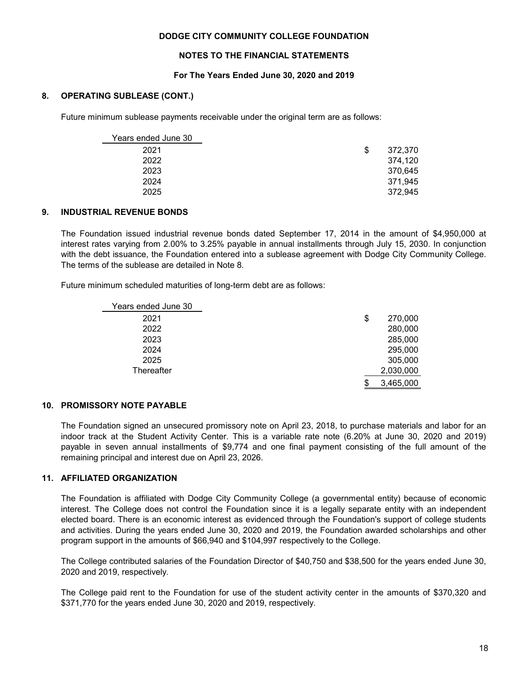# **NOTES TO THE FINANCIAL STATEMENTS**

#### **For The Years Ended June 30, 2020 and 2019**

# **8. OPERATING SUBLEASE (CONT.)**

Future minimum sublease payments receivable under the original term are as follows:

| Years ended June 30 |   |
|---------------------|---|
| 2021                | S |
| 2022                |   |
| 2023                |   |
| 2024                |   |
| 2025                |   |
|                     |   |

# **9. INDUSTRIAL REVENUE BONDS**

The Foundation issued industrial revenue bonds dated September 17, 2014 in the amount of \$4,950,000 at interest rates varying from 2.00% to 3.25% payable in annual installments through July 15, 2030. In conjunction with the debt issuance, the Foundation entered into a sublease agreement with Dodge City Community College. The terms of the sublease are detailed in Note 8.

Future minimum scheduled maturities of long-term debt are as follows:

| Years ended June 30 |    |
|---------------------|----|
| 2021                | \$ |
| 2022                |    |
| 2023                |    |
| 2024                |    |
| 2025                |    |
| <b>Thereafter</b>   |    |
|                     | \$ |

# **10. PROMISSORY NOTE PAYABLE**

The Foundation signed an unsecured promissory note on April 23, 2018, to purchase materials and labor for an indoor track at the Student Activity Center. This is a variable rate note (6.20% at June 30, 2020 and 2019) payable in seven annual installments of \$9,774 and one final payment consisting of the full amount of the remaining principal and interest due on April 23, 2026.

# **11. AFFILIATED ORGANIZATION**

The Foundation is affiliated with Dodge City Community College (a governmental entity) because of economic interest. The College does not control the Foundation since it is a legally separate entity with an independent elected board. There is an economic interest as evidenced through the Foundation's support of college students and activities. During the years ended June 30, 2020 and 2019, the Foundation awarded scholarships and other program support in the amounts of \$66,940 and \$104,997 respectively to the College.

The College contributed salaries of the Foundation Director of \$40,750 and \$38,500 for the years ended June 30, 2020 and 2019, respectively.

The College paid rent to the Foundation for use of the student activity center in the amounts of \$370,320 and \$371,770 for the years ended June 30, 2020 and 2019, respectively.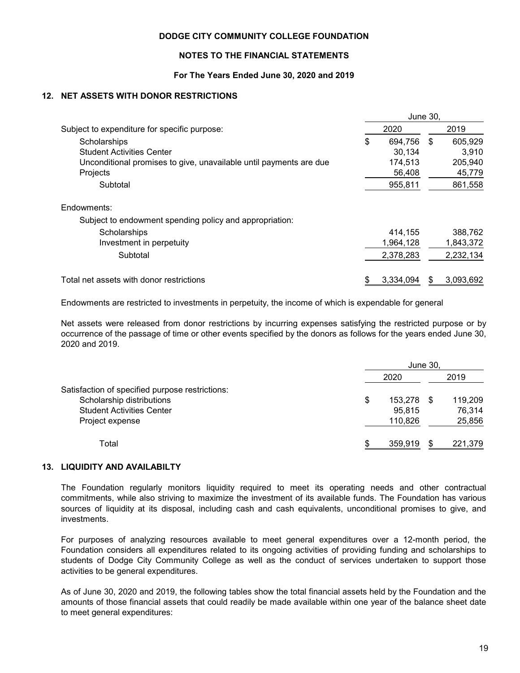# **NOTES TO THE FINANCIAL STATEMENTS**

# **For The Years Ended June 30, 2020 and 2019**

### **12. NET ASSETS WITH DONOR RESTRICTIONS**

|                                                                    | June 30. |           |      |           |
|--------------------------------------------------------------------|----------|-----------|------|-----------|
| Subject to expenditure for specific purpose:                       | 2020     |           | 2019 |           |
| Scholarships                                                       | \$       | 694,756   | \$   | 605,929   |
| <b>Student Activities Center</b>                                   |          | 30,134    |      | 3,910     |
| Unconditional promises to give, unavailable until payments are due |          | 174,513   |      | 205,940   |
| Projects                                                           |          | 56,408    |      | 45,779    |
| Subtotal                                                           |          | 955,811   |      | 861,558   |
| Endowments:                                                        |          |           |      |           |
| Subject to endowment spending policy and appropriation:            |          |           |      |           |
| Scholarships                                                       |          | 414,155   |      | 388,762   |
| Investment in perpetuity                                           |          | 1,964,128 |      | 1,843,372 |
| Subtotal                                                           |          | 2,378,283 |      | 2,232,134 |
| Total net assets with donor restrictions                           |          | 3,334,094 |      | 3,093,692 |

Endowments are restricted to investments in perpetuity, the income of which is expendable for general

Net assets were released from donor restrictions by incurring expenses satisfying the restricted purpose or by occurrence of the passage of time or other events specified by the donors as follows for the years ended June 30, 2020 and 2019.

|                                                 |     | June 30. |  |         |  |
|-------------------------------------------------|-----|----------|--|---------|--|
|                                                 |     | 2020     |  | 2019    |  |
| Satisfaction of specified purpose restrictions: |     |          |  |         |  |
| Scholarship distributions                       | \$  | 153.278  |  | 119,209 |  |
| <b>Student Activities Center</b>                |     | 95,815   |  | 76,314  |  |
| Project expense                                 |     | 110,826  |  | 25,856  |  |
| Total                                           | \$. | 359,919  |  | 221,379 |  |

# **13. LIQUIDITY AND AVAILABILTY**

The Foundation regularly monitors liquidity required to meet its operating needs and other contractual commitments, while also striving to maximize the investment of its available funds. The Foundation has various sources of liquidity at its disposal, including cash and cash equivalents, unconditional promises to give, and investments.

For purposes of analyzing resources available to meet general expenditures over a 12-month period, the Foundation considers all expenditures related to its ongoing activities of providing funding and scholarships to students of Dodge City Community College as well as the conduct of services undertaken to support those activities to be general expenditures.

As of June 30, 2020 and 2019, the following tables show the total financial assets held by the Foundation and the amounts of those financial assets that could readily be made available within one year of the balance sheet date to meet general expenditures: